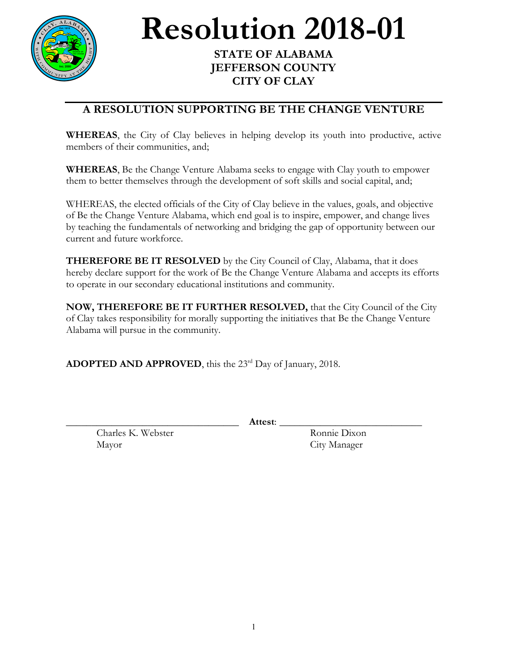

## **Resolution 2018-01 STATE OF ALABAMA**

## **JEFFERSON COUNTY CITY OF CLAY**

## **A RESOLUTION SUPPORTING BE THE CHANGE VENTURE**

**WHEREAS**, the City of Clay believes in helping develop its youth into productive, active members of their communities, and;

**WHEREAS**, Be the Change Venture Alabama seeks to engage with Clay youth to empower them to better themselves through the development of soft skills and social capital, and;

WHEREAS, the elected officials of the City of Clay believe in the values, goals, and objective of Be the Change Venture Alabama, which end goal is to inspire, empower, and change lives by teaching the fundamentals of networking and bridging the gap of opportunity between our current and future workforce.

**THEREFORE BE IT RESOLVED** by the City Council of Clay, Alabama, that it does hereby declare support for the work of Be the Change Venture Alabama and accepts its efforts to operate in our secondary educational institutions and community.

**NOW, THEREFORE BE IT FURTHER RESOLVED,** that the City Council of the City of Clay takes responsibility for morally supporting the initiatives that Be the Change Venture Alabama will pursue in the community.

ADOPTED AND APPROVED, this the 23<sup>rd</sup> Day of January, 2018.

Charles K. Webster Ronnie Dixon Mayor City Manager

\_\_\_\_\_\_\_\_\_\_\_\_\_\_\_\_\_\_\_\_\_\_\_\_\_\_\_\_\_\_\_\_\_\_ **Attest**: \_\_\_\_\_\_\_\_\_\_\_\_\_\_\_\_\_\_\_\_\_\_\_\_\_\_\_\_